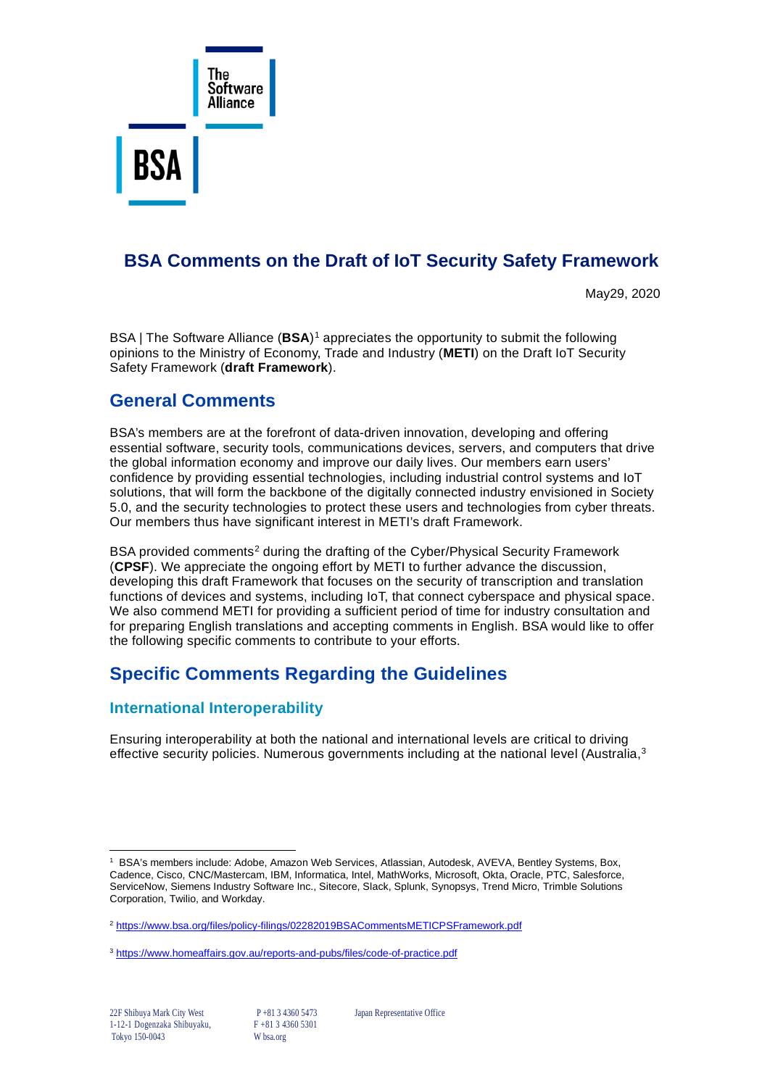

# **BSA Comments on the Draft of IoT Security Safety Framework**

May29, 2020

BSA | The Software Alliance (**BSA**)[1](#page-0-0) appreciates the opportunity to submit the following opinions to the Ministry of Economy, Trade and Industry (**METI**) on the Draft IoT Security Safety Framework (**draft Framework**).

### **General Comments**

BSA's members are at the forefront of data-driven innovation, developing and offering essential software, security tools, communications devices, servers, and computers that drive the global information economy and improve our daily lives. Our members earn users' confidence by providing essential technologies, including industrial control systems and IoT solutions, that will form the backbone of the digitally connected industry envisioned in Society 5.0, and the security technologies to protect these users and technologies from cyber threats. Our members thus have significant interest in METI's draft Framework.

BSA provided comments<sup>[2](#page-0-1)</sup> during the drafting of the Cyber/Physical Security Framework (**CPSF**). We appreciate the ongoing effort by METI to further advance the discussion, developing this draft Framework that focuses on the security of transcription and translation functions of devices and systems, including IoT, that connect cyberspace and physical space. We also commend METI for providing a sufficient period of time for industry consultation and for preparing English translations and accepting comments in English. BSA would like to offer the following specific comments to contribute to your efforts.

# **Specific Comments Regarding the Guidelines**

### **International Interoperability**

Ensuring interoperability at both the national and international levels are critical to driving effective security policies. Numerous governments including at the national level (Australia,<sup>[3](#page-0-2)</sup>

22F Shibuya Mark City West P +81 3 4360 5473 Japan Representative Office

<span id="page-0-0"></span><sup>1</sup> BSA's members include: Adobe, Amazon Web Services, Atlassian, Autodesk, AVEVA, Bentley Systems, Box, Cadence, Cisco, CNC/Mastercam, IBM, Informatica, Intel, MathWorks, Microsoft, Okta, Oracle, PTC, Salesforce, ServiceNow, Siemens Industry Software Inc., Sitecore, Slack, Splunk, Synopsys, Trend Micro, Trimble Solutions Corporation, Twilio, and Workday.

<span id="page-0-1"></span><sup>&</sup>lt;sup>2</sup> https://www.bsa.org/files/policy-filings/02282019BSACommentsMETICPSFramework.pdf

<span id="page-0-2"></span><sup>3</sup> <https://www.homeaffairs.gov.au/reports-and-pubs/files/code-of-practice.pdf>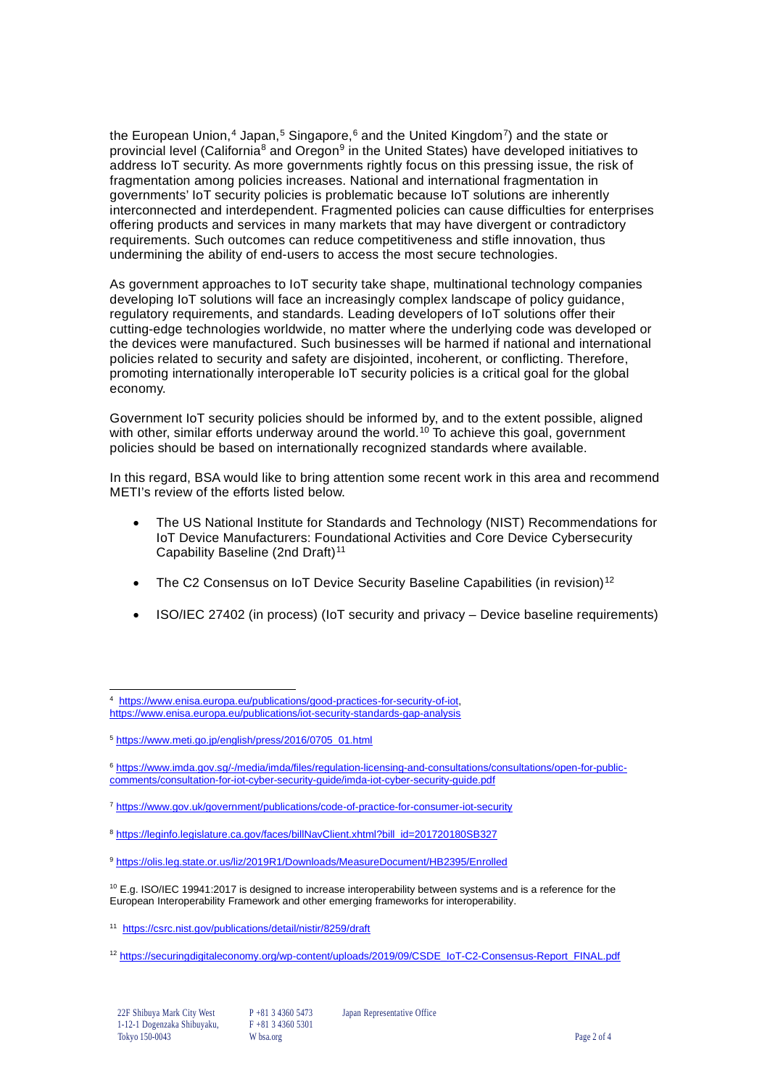the European Union,<sup>[4](#page-1-0)</sup> Japan,<sup>[5](#page-1-1)</sup> Singapore,<sup>[6](#page-1-2)</sup> and the United Kingdom<sup>[7](#page-1-3)</sup>) and the state or provincial level (California<sup>[8](#page-1-4)</sup> and Oregon<sup>[9](#page-1-5)</sup> in the United States) have developed initiatives to address IoT security. As more governments rightly focus on this pressing issue, the risk of fragmentation among policies increases. National and international fragmentation in governments' IoT security policies is problematic because IoT solutions are inherently interconnected and interdependent. Fragmented policies can cause difficulties for enterprises offering products and services in many markets that may have divergent or contradictory requirements. Such outcomes can reduce competitiveness and stifle innovation, thus undermining the ability of end-users to access the most secure technologies.

As government approaches to IoT security take shape, multinational technology companies developing IoT solutions will face an increasingly complex landscape of policy guidance, regulatory requirements, and standards. Leading developers of IoT solutions offer their cutting-edge technologies worldwide, no matter where the underlying code was developed or the devices were manufactured. Such businesses will be harmed if national and international policies related to security and safety are disjointed, incoherent, or conflicting. Therefore, promoting internationally interoperable IoT security policies is a critical goal for the global economy.

Government IoT security policies should be informed by, and to the extent possible, aligned with other, similar efforts underway around the world.<sup>[10](#page-1-6)</sup> To achieve this goal, government policies should be based on internationally recognized standards where available.

In this regard, BSA would like to bring attention some recent work in this area and recommend METI's review of the efforts listed below.

- The US National Institute for Standards and Technology (NIST) Recommendations for IoT Device Manufacturers: Foundational Activities and Core Device Cybersecurity Capability Baseline (2nd Draft)<sup>[11](#page-1-7)</sup>
- The C2 Consensus on IoT Device Security Baseline Capabilities (in revision)<sup>[12](#page-1-8)</sup>
- ISO/IEC 27402 (in process) (IoT security and privacy Device baseline requirements)

<span id="page-1-0"></span><sup>&</sup>lt;sup>4</sup> [https://www.enisa.europa.eu/publications/good-practices-for-security-of-iot,](https://www.enisa.europa.eu/publications/good-practices-for-security-of-iot) <https://www.enisa.europa.eu/publications/iot-security-standards-gap-analysis>

<span id="page-1-1"></span><sup>5</sup> [https://www.meti.go.jp/english/press/2016/0705\\_01.html](https://www.meti.go.jp/english/press/2016/0705_01.html)

<span id="page-1-2"></span><sup>6</sup> [https://www.imda.gov.sg/-/media/imda/files/regulation-licensing-and-consultations/consultations/open-for-public](https://www.imda.gov.sg/-/media/imda/files/regulation-licensing-and-consultations/consultations/open-for-public-comments/consultation-for-iot-cyber-security-guide/imda-iot-cyber-security-guide.pdf)[comments/consultation-for-iot-cyber-security-guide/imda-iot-cyber-security-guide.pdf](https://www.imda.gov.sg/-/media/imda/files/regulation-licensing-and-consultations/consultations/open-for-public-comments/consultation-for-iot-cyber-security-guide/imda-iot-cyber-security-guide.pdf)

<span id="page-1-3"></span><sup>7</sup> <https://www.gov.uk/government/publications/code-of-practice-for-consumer-iot-security>

<span id="page-1-4"></span><sup>8</sup> [https://leginfo.legislature.ca.gov/faces/billNavClient.xhtml?bill\\_id=201720180SB327](https://leginfo.legislature.ca.gov/faces/billNavClient.xhtml?bill_id=201720180SB327)

<span id="page-1-5"></span><sup>9</sup> <https://olis.leg.state.or.us/liz/2019R1/Downloads/MeasureDocument/HB2395/Enrolled>

<span id="page-1-6"></span><sup>&</sup>lt;sup>10</sup> E.g. ISO/IEC 19941:2017 is designed to increase interoperability between systems and is a reference for the European Interoperability Framework and other emerging frameworks for interoperability.

<span id="page-1-7"></span><sup>11</sup> <https://csrc.nist.gov/publications/detail/nistir/8259/draft>

<span id="page-1-8"></span><sup>12</sup> [https://securingdigitaleconomy.org/wp-content/uploads/2019/09/CSDE\\_IoT-C2-Consensus-Report\\_FINAL.pdf](https://securingdigitaleconomy.org/wp-content/uploads/2019/09/CSDE_IoT-C2-Consensus-Report_FINAL.pdf)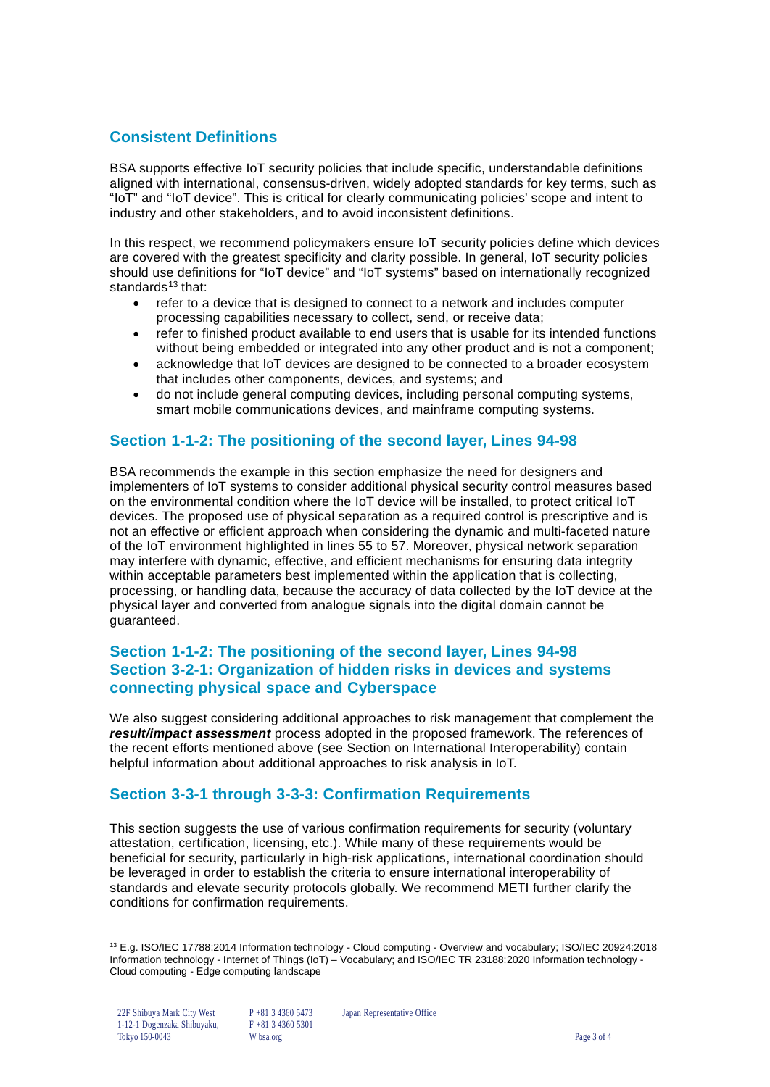### **Consistent Definitions**

BSA supports effective IoT security policies that include specific, understandable definitions aligned with international, consensus-driven, widely adopted standards for key terms, such as "IoT" and "IoT device". This is critical for clearly communicating policies' scope and intent to industry and other stakeholders, and to avoid inconsistent definitions.

In this respect, we recommend policymakers ensure IoT security policies define which devices are covered with the greatest specificity and clarity possible. In general, IoT security policies should use definitions for "IoT device" and "IoT systems" based on internationally recognized standards $13$  that:

- refer to a device that is designed to connect to a network and includes computer processing capabilities necessary to collect, send, or receive data;
- refer to finished product available to end users that is usable for its intended functions without being embedded or integrated into any other product and is not a component;
- acknowledge that IoT devices are designed to be connected to a broader ecosystem that includes other components, devices, and systems; and
- do not include general computing devices, including personal computing systems, smart mobile communications devices, and mainframe computing systems.

#### **Section 1-1-2: The positioning of the second layer, Lines 94-98**

BSA recommends the example in this section emphasize the need for designers and implementers of IoT systems to consider additional physical security control measures based on the environmental condition where the IoT device will be installed, to protect critical IoT devices. The proposed use of physical separation as a required control is prescriptive and is not an effective or efficient approach when considering the dynamic and multi-faceted nature of the IoT environment highlighted in lines 55 to 57. Moreover, physical network separation may interfere with dynamic, effective, and efficient mechanisms for ensuring data integrity within acceptable parameters best implemented within the application that is collecting, processing, or handling data, because the accuracy of data collected by the IoT device at the physical layer and converted from analogue signals into the digital domain cannot be guaranteed.

#### **Section 1-1-2: The positioning of the second layer, Lines 94-98 Section 3-2-1: Organization of hidden risks in devices and systems connecting physical space and Cyberspace**

We also suggest considering additional approaches to risk management that complement the *result/impact assessment* process adopted in the proposed framework. The references of the recent efforts mentioned above (see Section on International Interoperability) contain helpful information about additional approaches to risk analysis in IoT.

#### **Section 3-3-1 through 3-3-3: Confirmation Requirements**

This section suggests the use of various confirmation requirements for security (voluntary attestation, certification, licensing, etc.). While many of these requirements would be beneficial for security, particularly in high-risk applications, international coordination should be leveraged in order to establish the criteria to ensure international interoperability of standards and elevate security protocols globally. We recommend METI further clarify the conditions for confirmation requirements.

<span id="page-2-0"></span><sup>13</sup> E.g. ISO/IEC 17788:2014 Information technology - Cloud computing - Overview and vocabulary; ISO/IEC 20924:2018 Information technology - Internet of Things (IoT) – Vocabulary; and ISO/IEC TR 23188:2020 Information technology - Cloud computing - Edge computing landscape